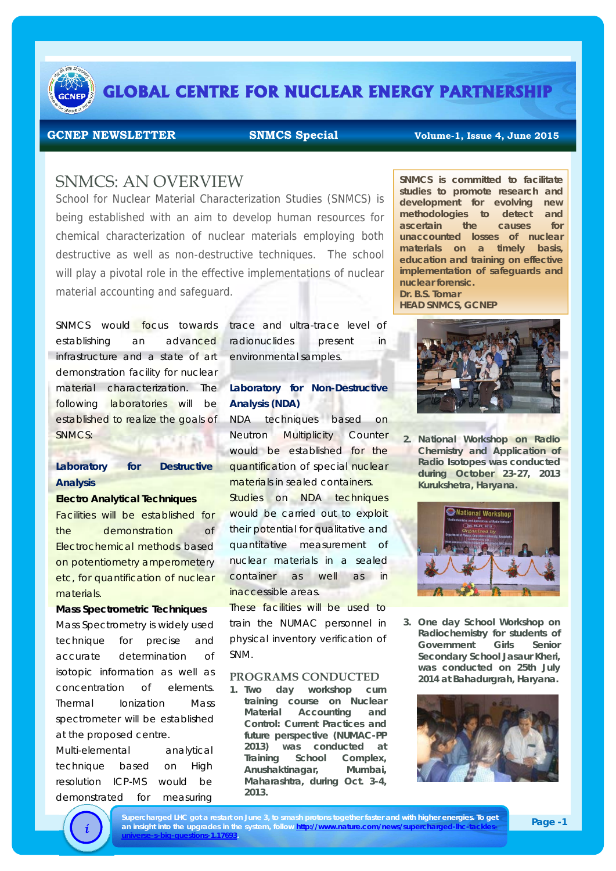

# **GLOBAL CENTRE FOR NUCLEAR ENERGY PARTNERSHIP**

#### GCNEP NEWSLETTER SNMCS Special Volume-1, Issue 4, June 2015

## SNMCS: AN OVERVIEW

School for Nuclear Material Characterization Studies (SNMCS) is being established with an aim to develop human resources for chemical characterization of nuclear materials employing both destructive as well as non-destructive techniques. The school will play a pivotal role in the effective implementations of nuclear material accounting and safeguard.

SNMCS would focus towards establishing an advanced infrastructure and a state of art demonstration facility for nuclear material characterization. The following laboratories will be established to realize the goals of SNMCS:

### **Laboratory for Destructive Analysis**

#### **Electro Analytical Techniques**

Facilities will be established for the demonstration of Electrochemical methods based on potentiometry amperometery etc, for quantification of nuclear materials.

#### **Mass Spectrometric Techniques**

Mass Spectrometry is widely used technique for precise and accurate determination of isotopic information as well as concentration of elements. Thermal Ionization Mass spectrometer will be established at the proposed centre.

Multi-elemental analytical technique based on High resolution ICP-MS would be demonstrated for measuring

trace and ultra-trace level of radionuclides present in environmental samples.

## **Laboratory for Non-Destructive Analysis (NDA)**

NDA techniques based on Neutron Multiplicity Counter would be established for the quantification of special nuclear materials in sealed containers.

Studies on NDA techniques would be carried out to exploit their potential for qualitative and quantitative measurement of nuclear materials in a sealed container as well as in inaccessible areas.

These facilities will be used to train the NUMAC personnel in physical inventory verification of SNM.

#### **PROGRAMS CONDUCTED**

**1. Two day workshop cum training course on** *Nuclear Material Accounting and Control: Current Practices and future perspective (NUMAC-PP 2013)* **was conducted at Training School Complex, Anushaktinagar, Mumbai, Maharashtra, during Oct. 3-4, 2013.** 

**SNMCS is committed to facilitate studies to promote research and development for evolving new methodologies to detect and ascertain the causes for unaccounted losses of nuclear materials on a timely basis, education and training on effective implementation of safeguards and nuclear forensic. Dr. B.S. Tomar** 

**HEAD SNMCS, GCNEP** 



**2. National Workshop on** *Radio Chemistry and Application of Radio Isotopes* **was conducted during October 23-27, 2013 Kurukshetra, Haryana.** 



**3. One day** *School Workshop on Radiochemistry* **for students of Government Girls Senior Secondary School Jasaur Kheri, was conducted on 25th July 2014 at Bahadurgrah, Haryana.**



**Supercharged LHC got a restart on June 3, to smash protons together faster and with higher energies. To get an insight into the upgrades in the system, follow http://www.nature.com/news/supercharged-lhc-tackles-universe-s-big-questions-1.17693.** *i* 

**Page -1**